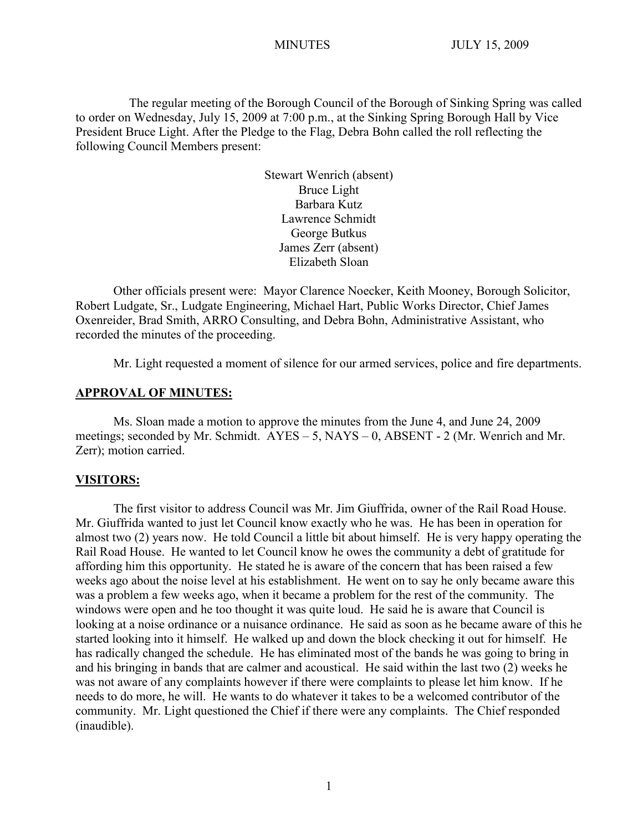The regular meeting of the Borough Council of the Borough of Sinking Spring was called to order on Wednesday, July 15, 2009 at 7:00 p.m., at the Sinking Spring Borough Hall by Vice President Bruce Light. After the Pledge to the Flag, Debra Bohn called the roll reflecting the following Council Members present:

> Stewart Wenrich (absent) Bruce Light Barbara Kutz Lawrence Schmidt George Butkus James Zerr (absent) Elizabeth Sloan

Other officials present were: Mayor Clarence Noecker, Keith Mooney, Borough Solicitor, Robert Ludgate, Sr., Ludgate Engineering, Michael Hart, Public Works Director, Chief James Oxenreider, Brad Smith, ARRO Consulting, and Debra Bohn, Administrative Assistant, who recorded the minutes of the proceeding.

Mr. Light requested a moment of silence for our armed services, police and fire departments.

#### **APPROVAL OF MINUTES:**

Ms. Sloan made a motion to approve the minutes from the June 4, and June 24, 2009 meetings; seconded by Mr. Schmidt. AYES – 5, NAYS – 0, ABSENT - 2 (Mr. Wenrich and Mr. Zerr); motion carried.

#### **VISITORS:**

The first visitor to address Council was Mr. Jim Giuffrida, owner of the Rail Road House. Mr. Giuffrida wanted to just let Council know exactly who he was. He has been in operation for almost two (2) years now. He told Council a little bit about himself. He is very happy operating the Rail Road House. He wanted to let Council know he owes the community a debt of gratitude for affording him this opportunity. He stated he is aware of the concern that has been raised a few weeks ago about the noise level at his establishment. He went on to say he only became aware this was a problem a few weeks ago, when it became a problem for the rest of the community. The windows were open and he too thought it was quite loud. He said he is aware that Council is looking at a noise ordinance or a nuisance ordinance. He said as soon as he became aware of this he started looking into it himself. He walked up and down the block checking it out for himself. He has radically changed the schedule. He has eliminated most of the bands he was going to bring in and his bringing in bands that are calmer and acoustical. He said within the last two (2) weeks he was not aware of any complaints however if there were complaints to please let him know. If he needs to do more, he will. He wants to do whatever it takes to be a welcomed contributor of the community. Mr. Light questioned the Chief if there were any complaints. The Chief responded (inaudible).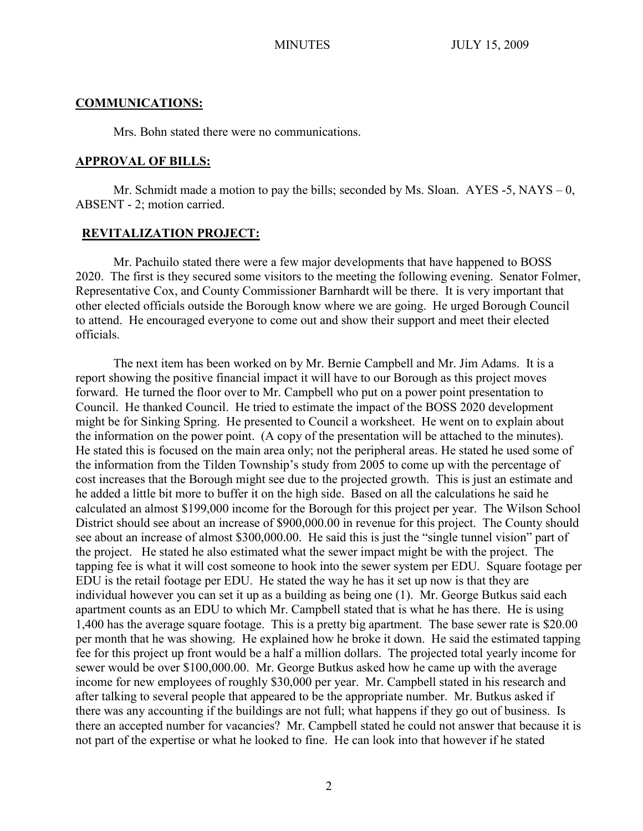#### **COMMUNICATIONS:**

Mrs. Bohn stated there were no communications.

#### **APPROVAL OF BILLS:**

Mr. Schmidt made a motion to pay the bills; seconded by Ms. Sloan.  $AYES - 5$ ,  $NAYS - 0$ , ABSENT - 2; motion carried.

### **REVITALIZATION PROJECT:**

Mr. Pachuilo stated there were a few major developments that have happened to BOSS 2020. The first is they secured some visitors to the meeting the following evening. Senator Folmer, Representative Cox, and County Commissioner Barnhardt will be there. It is very important that other elected officials outside the Borough know where we are going. He urged Borough Council to attend. He encouraged everyone to come out and show their support and meet their elected officials.

The next item has been worked on by Mr. Bernie Campbell and Mr. Jim Adams. It is a report showing the positive financial impact it will have to our Borough as this project moves forward. He turned the floor over to Mr. Campbell who put on a power point presentation to Council. He thanked Council. He tried to estimate the impact of the BOSS 2020 development might be for Sinking Spring. He presented to Council a worksheet. He went on to explain about the information on the power point. (A copy of the presentation will be attached to the minutes). He stated this is focused on the main area only; not the peripheral areas. He stated he used some of the information from the Tilden Township's study from 2005 to come up with the percentage of cost increases that the Borough might see due to the projected growth. This is just an estimate and he added a little bit more to buffer it on the high side. Based on all the calculations he said he calculated an almost \$199,000 income for the Borough for this project per year. The Wilson School District should see about an increase of \$900,000.00 in revenue for this project. The County should see about an increase of almost \$300,000.00. He said this is just the "single tunnel vision" part of the project. He stated he also estimated what the sewer impact might be with the project. The tapping fee is what it will cost someone to hook into the sewer system per EDU. Square footage per EDU is the retail footage per EDU. He stated the way he has it set up now is that they are individual however you can set it up as a building as being one (1). Mr. George Butkus said each apartment counts as an EDU to which Mr. Campbell stated that is what he has there. He is using 1,400 has the average square footage. This is a pretty big apartment. The base sewer rate is \$20.00 per month that he was showing. He explained how he broke it down. He said the estimated tapping fee for this project up front would be a half a million dollars. The projected total yearly income for sewer would be over \$100,000.00. Mr. George Butkus asked how he came up with the average income for new employees of roughly \$30,000 per year. Mr. Campbell stated in his research and after talking to several people that appeared to be the appropriate number. Mr. Butkus asked if there was any accounting if the buildings are not full; what happens if they go out of business. Is there an accepted number for vacancies? Mr. Campbell stated he could not answer that because it is not part of the expertise or what he looked to fine. He can look into that however if he stated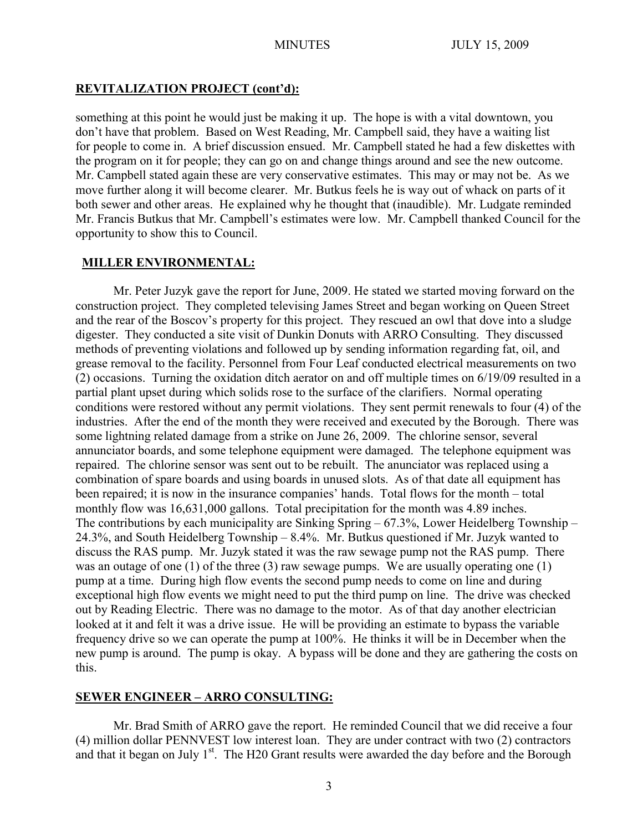## **REVITALIZATION PROJECT (cont'd):**

something at this point he would just be making it up. The hope is with a vital downtown, you don't have that problem. Based on West Reading, Mr. Campbell said, they have a waiting list for people to come in. A brief discussion ensued. Mr. Campbell stated he had a few diskettes with the program on it for people; they can go on and change things around and see the new outcome. Mr. Campbell stated again these are very conservative estimates. This may or may not be. As we move further along it will become clearer. Mr. Butkus feels he is way out of whack on parts of it both sewer and other areas. He explained why he thought that (inaudible). Mr. Ludgate reminded Mr. Francis Butkus that Mr. Campbell's estimates were low. Mr. Campbell thanked Council for the opportunity to show this to Council.

## **MILLER ENVIRONMENTAL:**

Mr. Peter Juzyk gave the report for June, 2009. He stated we started moving forward on the construction project. They completed televising James Street and began working on Queen Street and the rear of the Boscov's property for this project. They rescued an owl that dove into a sludge digester. They conducted a site visit of Dunkin Donuts with ARRO Consulting. They discussed methods of preventing violations and followed up by sending information regarding fat, oil, and grease removal to the facility. Personnel from Four Leaf conducted electrical measurements on two (2) occasions. Turning the oxidation ditch aerator on and off multiple times on 6/19/09 resulted in a partial plant upset during which solids rose to the surface of the clarifiers. Normal operating conditions were restored without any permit violations. They sent permit renewals to four (4) of the industries. After the end of the month they were received and executed by the Borough. There was some lightning related damage from a strike on June 26, 2009. The chlorine sensor, several annunciator boards, and some telephone equipment were damaged. The telephone equipment was repaired. The chlorine sensor was sent out to be rebuilt. The anunciator was replaced using a combination of spare boards and using boards in unused slots. As of that date all equipment has been repaired; it is now in the insurance companies' hands. Total flows for the month – total monthly flow was 16,631,000 gallons. Total precipitation for the month was 4.89 inches. The contributions by each municipality are Sinking Spring – 67.3%, Lower Heidelberg Township – 24.3%, and South Heidelberg Township – 8.4%. Mr. Butkus questioned if Mr. Juzyk wanted to discuss the RAS pump. Mr. Juzyk stated it was the raw sewage pump not the RAS pump. There was an outage of one (1) of the three (3) raw sewage pumps. We are usually operating one (1) pump at a time. During high flow events the second pump needs to come on line and during exceptional high flow events we might need to put the third pump on line. The drive was checked out by Reading Electric. There was no damage to the motor. As of that day another electrician looked at it and felt it was a drive issue. He will be providing an estimate to bypass the variable frequency drive so we can operate the pump at 100%. He thinks it will be in December when the new pump is around. The pump is okay. A bypass will be done and they are gathering the costs on this.

# **SEWER ENGINEER – ARRO CONSULTING:**

Mr. Brad Smith of ARRO gave the report. He reminded Council that we did receive a four (4) million dollar PENNVEST low interest loan. They are under contract with two (2) contractors and that it began on July 1<sup>st</sup>. The H20 Grant results were awarded the day before and the Borough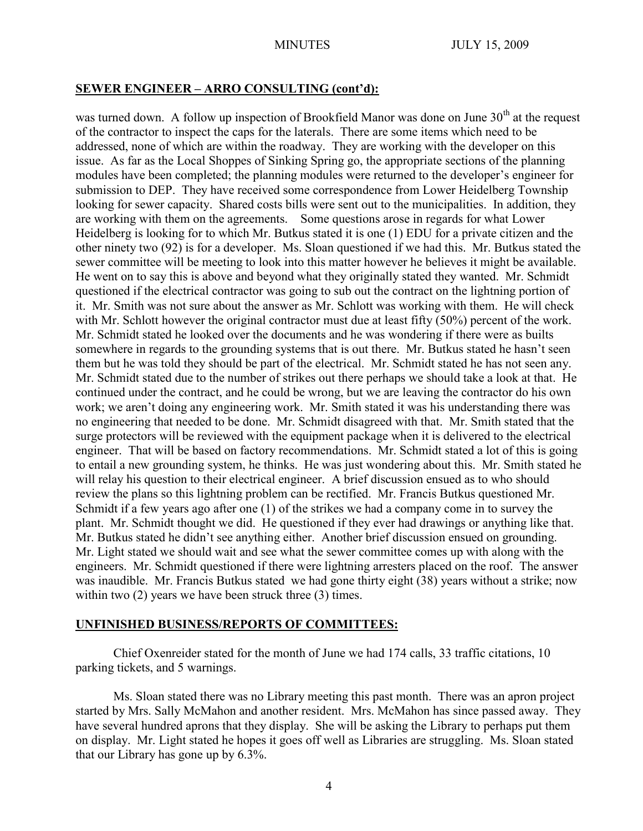### **SEWER ENGINEER – ARRO CONSULTING (cont'd):**

was turned down. A follow up inspection of Brookfield Manor was done on June  $30<sup>th</sup>$  at the request of the contractor to inspect the caps for the laterals. There are some items which need to be addressed, none of which are within the roadway. They are working with the developer on this issue. As far as the Local Shoppes of Sinking Spring go, the appropriate sections of the planning modules have been completed; the planning modules were returned to the developer's engineer for submission to DEP. They have received some correspondence from Lower Heidelberg Township looking for sewer capacity. Shared costs bills were sent out to the municipalities. In addition, they are working with them on the agreements. Some questions arose in regards for what Lower Heidelberg is looking for to which Mr. Butkus stated it is one (1) EDU for a private citizen and the other ninety two (92) is for a developer. Ms. Sloan questioned if we had this. Mr. Butkus stated the sewer committee will be meeting to look into this matter however he believes it might be available. He went on to say this is above and beyond what they originally stated they wanted. Mr. Schmidt questioned if the electrical contractor was going to sub out the contract on the lightning portion of it. Mr. Smith was not sure about the answer as Mr. Schlott was working with them. He will check with Mr. Schlott however the original contractor must due at least fifty (50%) percent of the work. Mr. Schmidt stated he looked over the documents and he was wondering if there were as builts somewhere in regards to the grounding systems that is out there. Mr. Butkus stated he hasn't seen them but he was told they should be part of the electrical. Mr. Schmidt stated he has not seen any. Mr. Schmidt stated due to the number of strikes out there perhaps we should take a look at that. He continued under the contract, and he could be wrong, but we are leaving the contractor do his own work; we aren't doing any engineering work. Mr. Smith stated it was his understanding there was no engineering that needed to be done. Mr. Schmidt disagreed with that. Mr. Smith stated that the surge protectors will be reviewed with the equipment package when it is delivered to the electrical engineer. That will be based on factory recommendations. Mr. Schmidt stated a lot of this is going to entail a new grounding system, he thinks. He was just wondering about this. Mr. Smith stated he will relay his question to their electrical engineer. A brief discussion ensued as to who should review the plans so this lightning problem can be rectified. Mr. Francis Butkus questioned Mr. Schmidt if a few years ago after one (1) of the strikes we had a company come in to survey the plant. Mr. Schmidt thought we did. He questioned if they ever had drawings or anything like that. Mr. Butkus stated he didn't see anything either. Another brief discussion ensued on grounding. Mr. Light stated we should wait and see what the sewer committee comes up with along with the engineers. Mr. Schmidt questioned if there were lightning arresters placed on the roof. The answer was inaudible. Mr. Francis Butkus stated we had gone thirty eight (38) years without a strike; now within two (2) years we have been struck three (3) times.

#### **UNFINISHED BUSINESS/REPORTS OF COMMITTEES:**

Chief Oxenreider stated for the month of June we had 174 calls, 33 traffic citations, 10 parking tickets, and 5 warnings.

Ms. Sloan stated there was no Library meeting this past month. There was an apron project started by Mrs. Sally McMahon and another resident. Mrs. McMahon has since passed away. They have several hundred aprons that they display. She will be asking the Library to perhaps put them on display. Mr. Light stated he hopes it goes off well as Libraries are struggling. Ms. Sloan stated that our Library has gone up by 6.3%.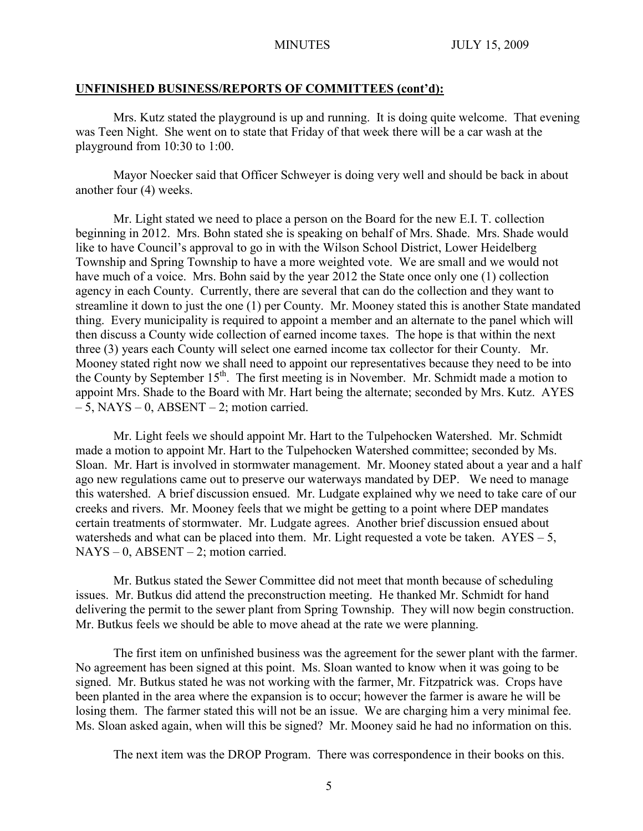#### **UNFINISHED BUSINESS/REPORTS OF COMMITTEES (cont'd):**

Mrs. Kutz stated the playground is up and running. It is doing quite welcome. That evening was Teen Night. She went on to state that Friday of that week there will be a car wash at the playground from 10:30 to 1:00.

Mayor Noecker said that Officer Schweyer is doing very well and should be back in about another four (4) weeks.

Mr. Light stated we need to place a person on the Board for the new E.I. T. collection beginning in 2012. Mrs. Bohn stated she is speaking on behalf of Mrs. Shade. Mrs. Shade would like to have Council's approval to go in with the Wilson School District, Lower Heidelberg Township and Spring Township to have a more weighted vote. We are small and we would not have much of a voice. Mrs. Bohn said by the year 2012 the State once only one (1) collection agency in each County. Currently, there are several that can do the collection and they want to streamline it down to just the one (1) per County. Mr. Mooney stated this is another State mandated thing. Every municipality is required to appoint a member and an alternate to the panel which will then discuss a County wide collection of earned income taxes. The hope is that within the next three (3) years each County will select one earned income tax collector for their County. Mr. Mooney stated right now we shall need to appoint our representatives because they need to be into the County by September  $15<sup>th</sup>$ . The first meeting is in November. Mr. Schmidt made a motion to appoint Mrs. Shade to the Board with Mr. Hart being the alternate; seconded by Mrs. Kutz. AYES  $-5$ , NAYS  $-0$ , ABSENT  $-2$ ; motion carried.

Mr. Light feels we should appoint Mr. Hart to the Tulpehocken Watershed. Mr. Schmidt made a motion to appoint Mr. Hart to the Tulpehocken Watershed committee; seconded by Ms. Sloan. Mr. Hart is involved in stormwater management. Mr. Mooney stated about a year and a half ago new regulations came out to preserve our waterways mandated by DEP. We need to manage this watershed. A brief discussion ensued. Mr. Ludgate explained why we need to take care of our creeks and rivers. Mr. Mooney feels that we might be getting to a point where DEP mandates certain treatments of stormwater. Mr. Ludgate agrees. Another brief discussion ensued about watersheds and what can be placed into them. Mr. Light requested a vote be taken.  $AYES - 5$ ,  $NAYS - 0$ ,  $ABSENT - 2$ ; motion carried.

Mr. Butkus stated the Sewer Committee did not meet that month because of scheduling issues. Mr. Butkus did attend the preconstruction meeting. He thanked Mr. Schmidt for hand delivering the permit to the sewer plant from Spring Township. They will now begin construction. Mr. Butkus feels we should be able to move ahead at the rate we were planning.

The first item on unfinished business was the agreement for the sewer plant with the farmer. No agreement has been signed at this point. Ms. Sloan wanted to know when it was going to be signed. Mr. Butkus stated he was not working with the farmer, Mr. Fitzpatrick was. Crops have been planted in the area where the expansion is to occur; however the farmer is aware he will be losing them. The farmer stated this will not be an issue. We are charging him a very minimal fee. Ms. Sloan asked again, when will this be signed? Mr. Mooney said he had no information on this.

The next item was the DROP Program. There was correspondence in their books on this.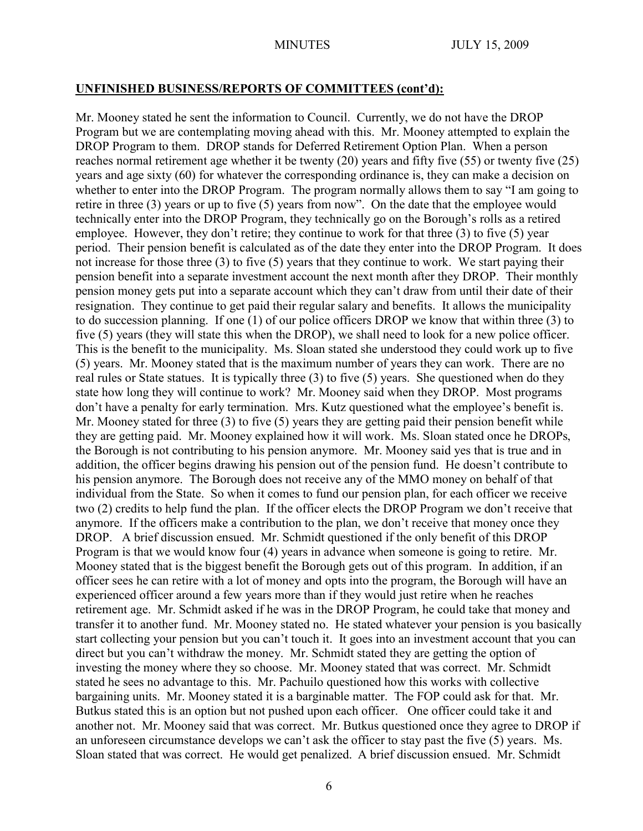### **UNFINISHED BUSINESS/REPORTS OF COMMITTEES (cont'd):**

Mr. Mooney stated he sent the information to Council. Currently, we do not have the DROP Program but we are contemplating moving ahead with this. Mr. Mooney attempted to explain the DROP Program to them. DROP stands for Deferred Retirement Option Plan. When a person reaches normal retirement age whether it be twenty (20) years and fifty five (55) or twenty five (25) years and age sixty (60) for whatever the corresponding ordinance is, they can make a decision on whether to enter into the DROP Program. The program normally allows them to say "I am going to retire in three (3) years or up to five (5) years from now". On the date that the employee would technically enter into the DROP Program, they technically go on the Borough's rolls as a retired employee. However, they don't retire; they continue to work for that three (3) to five (5) year period. Their pension benefit is calculated as of the date they enter into the DROP Program. It does not increase for those three (3) to five (5) years that they continue to work. We start paying their pension benefit into a separate investment account the next month after they DROP. Their monthly pension money gets put into a separate account which they can't draw from until their date of their resignation. They continue to get paid their regular salary and benefits. It allows the municipality to do succession planning. If one (1) of our police officers DROP we know that within three (3) to five (5) years (they will state this when the DROP), we shall need to look for a new police officer. This is the benefit to the municipality. Ms. Sloan stated she understood they could work up to five (5) years. Mr. Mooney stated that is the maximum number of years they can work. There are no real rules or State statues. It is typically three (3) to five (5) years. She questioned when do they state how long they will continue to work? Mr. Mooney said when they DROP. Most programs don't have a penalty for early termination. Mrs. Kutz questioned what the employee's benefit is. Mr. Mooney stated for three (3) to five (5) years they are getting paid their pension benefit while they are getting paid. Mr. Mooney explained how it will work. Ms. Sloan stated once he DROPs, the Borough is not contributing to his pension anymore. Mr. Mooney said yes that is true and in addition, the officer begins drawing his pension out of the pension fund. He doesn't contribute to his pension anymore. The Borough does not receive any of the MMO money on behalf of that individual from the State. So when it comes to fund our pension plan, for each officer we receive two (2) credits to help fund the plan. If the officer elects the DROP Program we don't receive that anymore. If the officers make a contribution to the plan, we don't receive that money once they DROP. A brief discussion ensued. Mr. Schmidt questioned if the only benefit of this DROP Program is that we would know four (4) years in advance when someone is going to retire. Mr. Mooney stated that is the biggest benefit the Borough gets out of this program. In addition, if an officer sees he can retire with a lot of money and opts into the program, the Borough will have an experienced officer around a few years more than if they would just retire when he reaches retirement age. Mr. Schmidt asked if he was in the DROP Program, he could take that money and transfer it to another fund. Mr. Mooney stated no. He stated whatever your pension is you basically start collecting your pension but you can't touch it. It goes into an investment account that you can direct but you can't withdraw the money. Mr. Schmidt stated they are getting the option of investing the money where they so choose. Mr. Mooney stated that was correct. Mr. Schmidt stated he sees no advantage to this. Mr. Pachuilo questioned how this works with collective bargaining units. Mr. Mooney stated it is a barginable matter. The FOP could ask for that. Mr. Butkus stated this is an option but not pushed upon each officer. One officer could take it and another not. Mr. Mooney said that was correct. Mr. Butkus questioned once they agree to DROP if an unforeseen circumstance develops we can't ask the officer to stay past the five (5) years. Ms. Sloan stated that was correct. He would get penalized. A brief discussion ensued. Mr. Schmidt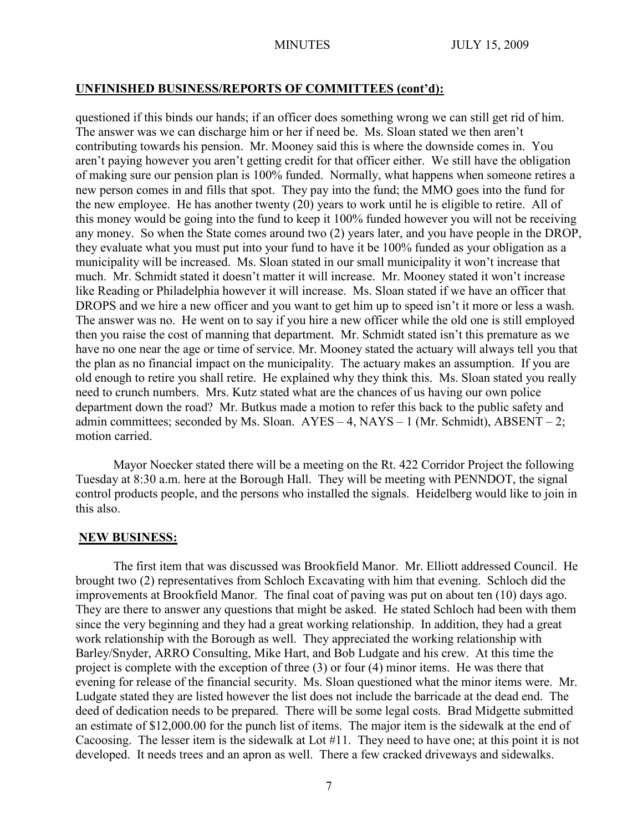#### **UNFINISHED BUSINESS/REPORTS OF COMMITTEES (cont'd):**

questioned if this binds our hands; if an officer does something wrong we can still get rid of him. The answer was we can discharge him or her if need be. Ms. Sloan stated we then aren't contributing towards his pension. Mr. Mooney said this is where the downside comes in. You aren't paying however you aren't getting credit for that officer either. We still have the obligation of making sure our pension plan is 100% funded. Normally, what happens when someone retires a new person comes in and fills that spot. They pay into the fund; the MMO goes into the fund for the new employee. He has another twenty (20) years to work until he is eligible to retire. All of this money would be going into the fund to keep it 100% funded however you will not be receiving any money. So when the State comes around two (2) years later, and you have people in the DROP, they evaluate what you must put into your fund to have it be 100% funded as your obligation as a municipality will be increased. Ms. Sloan stated in our small municipality it won't increase that much. Mr. Schmidt stated it doesn't matter it will increase. Mr. Mooney stated it won't increase like Reading or Philadelphia however it will increase. Ms. Sloan stated if we have an officer that DROPS and we hire a new officer and you want to get him up to speed isn't it more or less a wash. The answer was no. He went on to say if you hire a new officer while the old one is still employed then you raise the cost of manning that department. Mr. Schmidt stated isn't this premature as we have no one near the age or time of service. Mr. Mooney stated the actuary will always tell you that the plan as no financial impact on the municipality. The actuary makes an assumption. If you are old enough to retire you shall retire. He explained why they think this. Ms. Sloan stated you really need to crunch numbers. Mrs. Kutz stated what are the chances of us having our own police department down the road? Mr. Butkus made a motion to refer this back to the public safety and admin committees; seconded by Ms. Sloan.  $AYES - 4$ ,  $NAYS - 1$  (Mr. Schmidt),  $ABSENT - 2$ ; motion carried.

Mayor Noecker stated there will be a meeting on the Rt. 422 Corridor Project the following Tuesday at 8:30 a.m. here at the Borough Hall. They will be meeting with PENNDOT, the signal control products people, and the persons who installed the signals. Heidelberg would like to join in this also.

#### **NEW BUSINESS:**

The first item that was discussed was Brookfield Manor. Mr. Elliott addressed Council. He brought two (2) representatives from Schloch Excavating with him that evening. Schloch did the improvements at Brookfield Manor. The final coat of paving was put on about ten (10) days ago. They are there to answer any questions that might be asked. He stated Schloch had been with them since the very beginning and they had a great working relationship. In addition, they had a great work relationship with the Borough as well. They appreciated the working relationship with Barley/Snyder, ARRO Consulting, Mike Hart, and Bob Ludgate and his crew. At this time the project is complete with the exception of three (3) or four (4) minor items. He was there that evening for release of the financial security. Ms. Sloan questioned what the minor items were. Mr. Ludgate stated they are listed however the list does not include the barricade at the dead end. The deed of dedication needs to be prepared. There will be some legal costs. Brad Midgette submitted an estimate of \$12,000.00 for the punch list of items. The major item is the sidewalk at the end of Cacoosing. The lesser item is the sidewalk at Lot #11. They need to have one; at this point it is not developed. It needs trees and an apron as well. There a few cracked driveways and sidewalks.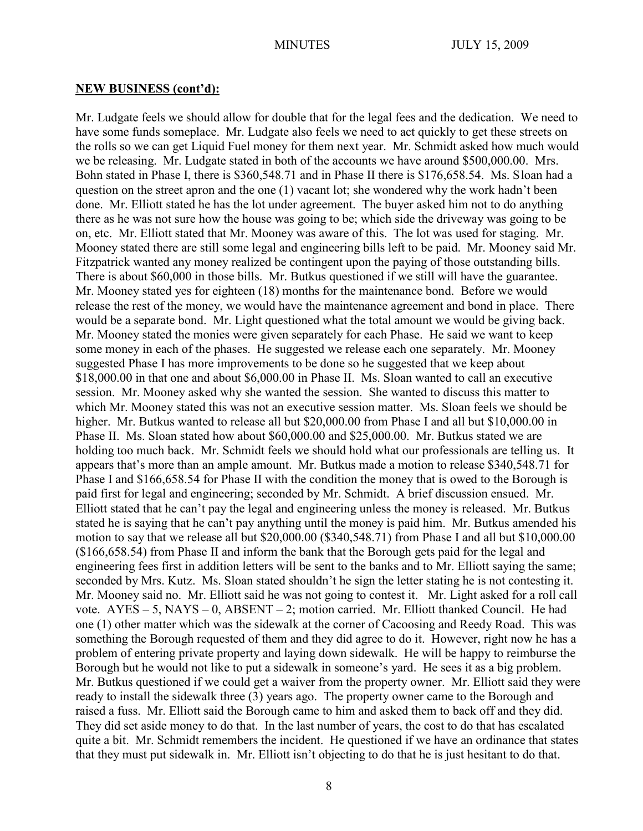#### **NEW BUSINESS (cont'd):**

Mr. Ludgate feels we should allow for double that for the legal fees and the dedication. We need to have some funds someplace. Mr. Ludgate also feels we need to act quickly to get these streets on the rolls so we can get Liquid Fuel money for them next year. Mr. Schmidt asked how much would we be releasing. Mr. Ludgate stated in both of the accounts we have around \$500,000.00. Mrs. Bohn stated in Phase I, there is \$360,548.71 and in Phase II there is \$176,658.54. Ms. Sloan had a question on the street apron and the one (1) vacant lot; she wondered why the work hadn't been done. Mr. Elliott stated he has the lot under agreement. The buyer asked him not to do anything there as he was not sure how the house was going to be; which side the driveway was going to be on, etc. Mr. Elliott stated that Mr. Mooney was aware of this. The lot was used for staging. Mr. Mooney stated there are still some legal and engineering bills left to be paid. Mr. Mooney said Mr. Fitzpatrick wanted any money realized be contingent upon the paying of those outstanding bills. There is about \$60,000 in those bills. Mr. Butkus questioned if we still will have the guarantee. Mr. Mooney stated yes for eighteen (18) months for the maintenance bond. Before we would release the rest of the money, we would have the maintenance agreement and bond in place. There would be a separate bond. Mr. Light questioned what the total amount we would be giving back. Mr. Mooney stated the monies were given separately for each Phase. He said we want to keep some money in each of the phases. He suggested we release each one separately. Mr. Mooney suggested Phase I has more improvements to be done so he suggested that we keep about \$18,000.00 in that one and about \$6,000.00 in Phase II. Ms. Sloan wanted to call an executive session. Mr. Mooney asked why she wanted the session. She wanted to discuss this matter to which Mr. Mooney stated this was not an executive session matter. Ms. Sloan feels we should be higher. Mr. Butkus wanted to release all but \$20,000.00 from Phase I and all but \$10,000.00 in Phase II. Ms. Sloan stated how about \$60,000.00 and \$25,000.00. Mr. Butkus stated we are holding too much back. Mr. Schmidt feels we should hold what our professionals are telling us. It appears that's more than an ample amount. Mr. Butkus made a motion to release \$340,548.71 for Phase I and \$166,658.54 for Phase II with the condition the money that is owed to the Borough is paid first for legal and engineering; seconded by Mr. Schmidt. A brief discussion ensued. Mr. Elliott stated that he can't pay the legal and engineering unless the money is released. Mr. Butkus stated he is saying that he can't pay anything until the money is paid him. Mr. Butkus amended his motion to say that we release all but \$20,000.00 (\$340,548.71) from Phase I and all but \$10,000.00 (\$166,658.54) from Phase II and inform the bank that the Borough gets paid for the legal and engineering fees first in addition letters will be sent to the banks and to Mr. Elliott saying the same; seconded by Mrs. Kutz. Ms. Sloan stated shouldn't he sign the letter stating he is not contesting it. Mr. Mooney said no. Mr. Elliott said he was not going to contest it. Mr. Light asked for a roll call vote. AYES – 5, NAYS – 0, ABSENT – 2; motion carried. Mr. Elliott thanked Council. He had one (1) other matter which was the sidewalk at the corner of Cacoosing and Reedy Road. This was something the Borough requested of them and they did agree to do it. However, right now he has a problem of entering private property and laying down sidewalk. He will be happy to reimburse the Borough but he would not like to put a sidewalk in someone's yard. He sees it as a big problem. Mr. Butkus questioned if we could get a waiver from the property owner. Mr. Elliott said they were ready to install the sidewalk three (3) years ago. The property owner came to the Borough and raised a fuss. Mr. Elliott said the Borough came to him and asked them to back off and they did. They did set aside money to do that. In the last number of years, the cost to do that has escalated quite a bit. Mr. Schmidt remembers the incident. He questioned if we have an ordinance that states that they must put sidewalk in. Mr. Elliott isn't objecting to do that he is just hesitant to do that.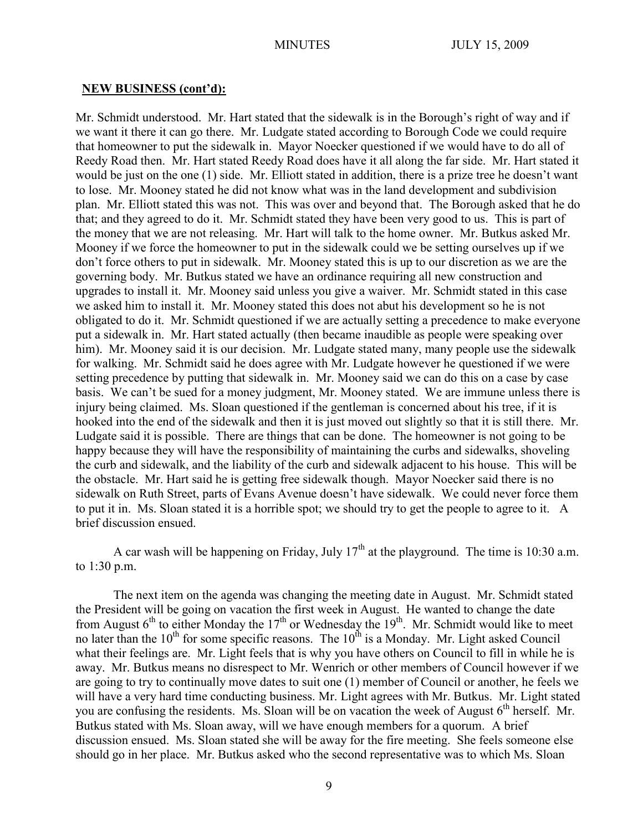#### **NEW BUSINESS (cont'd):**

Mr. Schmidt understood. Mr. Hart stated that the sidewalk is in the Borough's right of way and if we want it there it can go there. Mr. Ludgate stated according to Borough Code we could require that homeowner to put the sidewalk in. Mayor Noecker questioned if we would have to do all of Reedy Road then. Mr. Hart stated Reedy Road does have it all along the far side. Mr. Hart stated it would be just on the one (1) side. Mr. Elliott stated in addition, there is a prize tree he doesn't want to lose. Mr. Mooney stated he did not know what was in the land development and subdivision plan. Mr. Elliott stated this was not. This was over and beyond that. The Borough asked that he do that; and they agreed to do it. Mr. Schmidt stated they have been very good to us. This is part of the money that we are not releasing. Mr. Hart will talk to the home owner. Mr. Butkus asked Mr. Mooney if we force the homeowner to put in the sidewalk could we be setting ourselves up if we don't force others to put in sidewalk. Mr. Mooney stated this is up to our discretion as we are the governing body. Mr. Butkus stated we have an ordinance requiring all new construction and upgrades to install it. Mr. Mooney said unless you give a waiver. Mr. Schmidt stated in this case we asked him to install it. Mr. Mooney stated this does not abut his development so he is not obligated to do it. Mr. Schmidt questioned if we are actually setting a precedence to make everyone put a sidewalk in. Mr. Hart stated actually (then became inaudible as people were speaking over him). Mr. Mooney said it is our decision. Mr. Ludgate stated many, many people use the sidewalk for walking. Mr. Schmidt said he does agree with Mr. Ludgate however he questioned if we were setting precedence by putting that sidewalk in. Mr. Mooney said we can do this on a case by case basis. We can't be sued for a money judgment, Mr. Mooney stated. We are immune unless there is injury being claimed. Ms. Sloan questioned if the gentleman is concerned about his tree, if it is hooked into the end of the sidewalk and then it is just moved out slightly so that it is still there. Mr. Ludgate said it is possible. There are things that can be done. The homeowner is not going to be happy because they will have the responsibility of maintaining the curbs and sidewalks, shoveling the curb and sidewalk, and the liability of the curb and sidewalk adjacent to his house. This will be the obstacle. Mr. Hart said he is getting free sidewalk though. Mayor Noecker said there is no sidewalk on Ruth Street, parts of Evans Avenue doesn't have sidewalk. We could never force them to put it in. Ms. Sloan stated it is a horrible spot; we should try to get the people to agree to it. A brief discussion ensued.

A car wash will be happening on Friday, July  $17<sup>th</sup>$  at the playground. The time is 10:30 a.m. to 1:30 p.m.

The next item on the agenda was changing the meeting date in August. Mr. Schmidt stated the President will be going on vacation the first week in August. He wanted to change the date from August  $6<sup>th</sup>$  to either Monday the 17<sup>th</sup> or Wednesday the 19<sup>th</sup>. Mr. Schmidt would like to meet no later than the 10<sup>th</sup> for some specific reasons. The 10<sup>th</sup> is a Monday. Mr. Light asked Council what their feelings are. Mr. Light feels that is why you have others on Council to fill in while he is away. Mr. Butkus means no disrespect to Mr. Wenrich or other members of Council however if we are going to try to continually move dates to suit one (1) member of Council or another, he feels we will have a very hard time conducting business. Mr. Light agrees with Mr. Butkus. Mr. Light stated you are confusing the residents. Ms. Sloan will be on vacation the week of August  $6<sup>th</sup>$  herself. Mr. Butkus stated with Ms. Sloan away, will we have enough members for a quorum. A brief discussion ensued. Ms. Sloan stated she will be away for the fire meeting. She feels someone else should go in her place. Mr. Butkus asked who the second representative was to which Ms. Sloan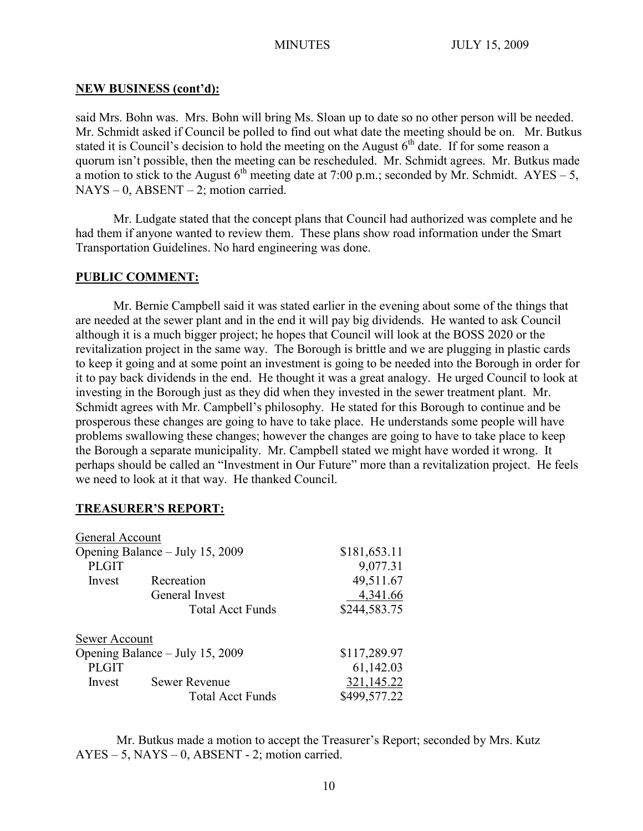### **NEW BUSINESS (cont'd):**

said Mrs. Bohn was. Mrs. Bohn will bring Ms. Sloan up to date so no other person will be needed. Mr. Schmidt asked if Council be polled to find out what date the meeting should be on. Mr. Butkus stated it is Council's decision to hold the meeting on the August  $6<sup>th</sup>$  date. If for some reason a quorum isn't possible, then the meeting can be rescheduled. Mr. Schmidt agrees. Mr. Butkus made a motion to stick to the August  $6^{th}$  meeting date at 7:00 p.m.; seconded by Mr. Schmidt. AYES – 5,  $NAYS - 0$ ,  $ABSENT - 2$ ; motion carried.

Mr. Ludgate stated that the concept plans that Council had authorized was complete and he had them if anyone wanted to review them. These plans show road information under the Smart Transportation Guidelines. No hard engineering was done.

### **PUBLIC COMMENT:**

Mr. Bernie Campbell said it was stated earlier in the evening about some of the things that are needed at the sewer plant and in the end it will pay big dividends. He wanted to ask Council although it is a much bigger project; he hopes that Council will look at the BOSS 2020 or the revitalization project in the same way. The Borough is brittle and we are plugging in plastic cards to keep it going and at some point an investment is going to be needed into the Borough in order for it to pay back dividends in the end. He thought it was a great analogy. He urged Council to look at investing in the Borough just as they did when they invested in the sewer treatment plant. Mr. Schmidt agrees with Mr. Campbell's philosophy. He stated for this Borough to continue and be prosperous these changes are going to have to take place. He understands some people will have problems swallowing these changes; however the changes are going to have to take place to keep the Borough a separate municipality. Mr. Campbell stated we might have worded it wrong. It perhaps should be called an "Investment in Our Future" more than a revitalization project. He feels we need to look at it that way. He thanked Council.

#### **TREASURER'S REPORT:**

| General Account                 |                         |              |
|---------------------------------|-------------------------|--------------|
| Opening Balance – July 15, 2009 |                         | \$181,653.11 |
| <b>PLGIT</b>                    |                         | 9,077.31     |
| Invest                          | Recreation              | 49,511.67    |
|                                 | General Invest          | 4,341.66     |
|                                 | <b>Total Acct Funds</b> | \$244,583.75 |
| Sewer Account                   |                         |              |
| Opening Balance – July 15, 2009 |                         | \$117,289.97 |
| <b>PLGIT</b>                    |                         | 61,142.03    |
| Invest                          | <b>Sewer Revenue</b>    | 321,145.22   |
|                                 | <b>Total Acct Funds</b> | \$499,577.22 |

Mr. Butkus made a motion to accept the Treasurer's Report; seconded by Mrs. Kutz AYES – 5, NAYS – 0, ABSENT - 2; motion carried.